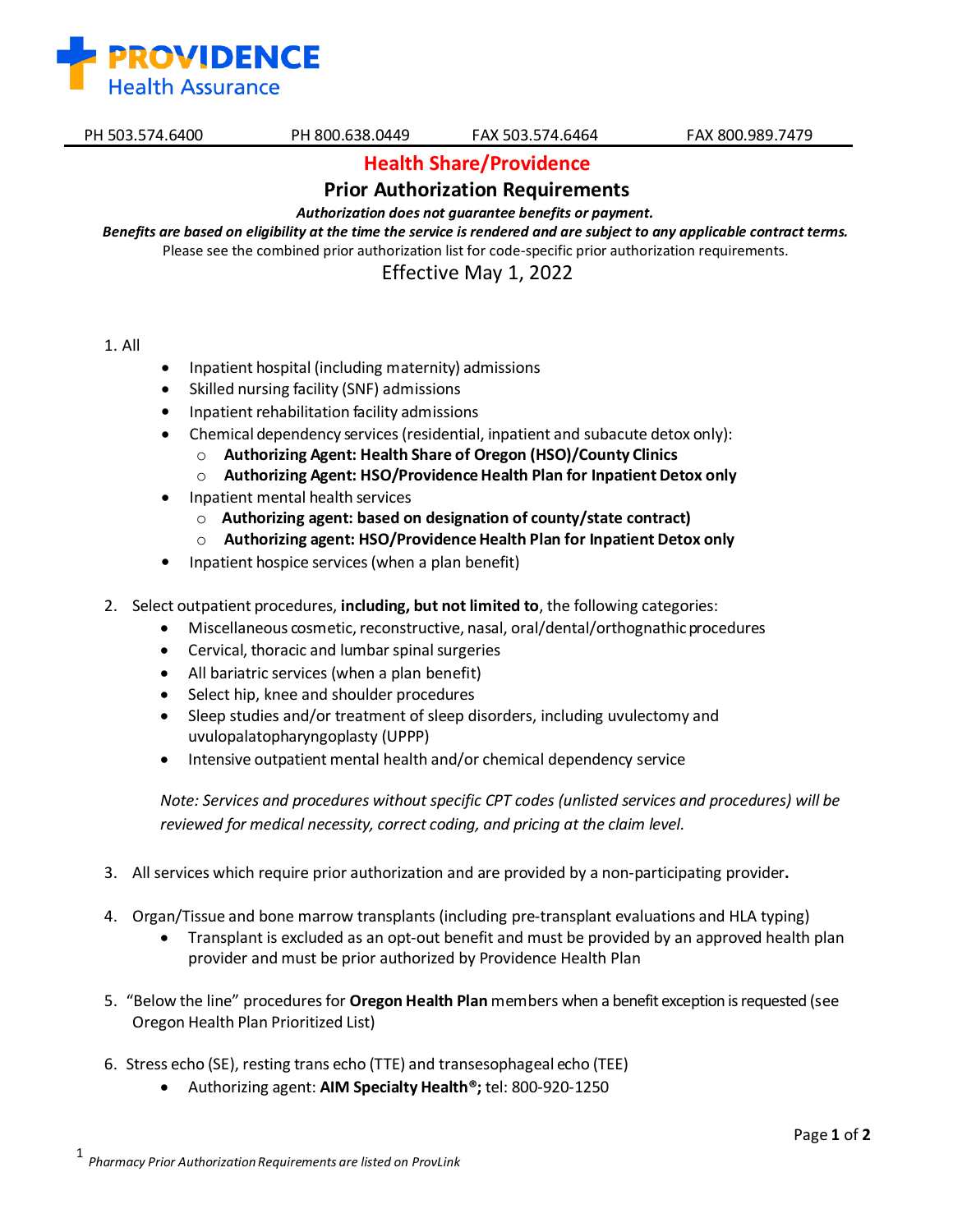

**Health Share/Providence**

## **Prior Authorization Requirements**

*Authorization does not guarantee benefits or payment.* 

Benefits are based on eligibility at the time the service is rendered and are subject to any applicable contract terms. Please see the combined prior authorization list for code-specific prior authorization requirements.

Effective May 1, 2022

- 1. All
- Inpatient hospital (including maternity) admissions
- Skilled nursing facility (SNF) admissions
- Inpatient rehabilitation facility admissions
- Chemical dependency services(residential, inpatient and subacute detox only):
	- o **Authorizing Agent: Health Share of Oregon (HSO)/County Clinics**
	- o **Authorizing Agent: HSO/ProvidenceHealth Plan for Inpatient Detox only**
- Inpatient mental health services
	- o **Authorizing agent: based on designation of county/state contract)**
	- o **Authorizing agent: HSO/ProvidenceHealth Plan for Inpatient Detox only**
- Inpatient hospice services(when a plan benefit)
- 2. Select outpatient procedures, **including, but not limited to**, the following categories:
	- Miscellaneous cosmetic, reconstructive, nasal, oral/dental/orthognathic procedures
	- Cervical, thoracic and lumbar spinal surgeries
	- All bariatric services (when a plan benefit)
	- Select hip, knee and shoulder procedures
	- Sleep studies and/or treatment of sleep disorders, including uvulectomy and uvulopalatopharyngoplasty (UPPP)
	- Intensive outpatient mental health and/or chemical dependency service

*Note: Services and procedures without specific CPT codes (unlisted services and procedures) will be reviewed for medical necessity, correct coding, and pricing at the claim level.*

- 3. All services which require prior authorization and are provided by a non-participating provider**.**
- 4. Organ/Tissue and bone marrow transplants (including pre-transplant evaluations and HLA typing)
	- Transplant is excluded as an opt-out benefit and must be provided by an approved health plan provider and must be prior authorized by Providence Health Plan
- 5. "Below the line" proceduresfor **Oregon Health Plan** members when a benefit exception is requested (see Oregon Health Plan Prioritized List)
- 6. Stress echo (SE), resting trans echo (TTE) and transesophageal echo (TEE)
	- Authorizing agent: **AIM Specialty Health®;** tel: 800-920-1250